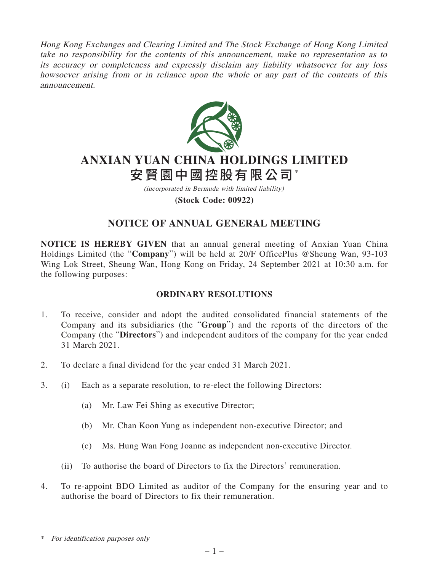Hong Kong Exchanges and Clearing Limited and The Stock Exchange of Hong Kong Limited take no responsibility for the contents of this announcement, make no representation as to its accuracy or completeness and expressly disclaim any liability whatsoever for any loss howsoever arising from or in reliance upon the whole or any part of the contents of this announcement.



# **ANXIAN YUAN CHINA HOLDINGS LIMITED** 安賢園中國控股有限公司\*

(incorporated in Bermuda with limited liability)

**(Stock Code: 00922)**

## **NOTICE OF ANNUAL GENERAL MEETING**

**NOTICE IS HEREBY GIVEN** that an annual general meeting of Anxian Yuan China Holdings Limited (the "**Company**") will be held at 20/F OfficePlus @Sheung Wan, 93-103 Wing Lok Street, Sheung Wan, Hong Kong on Friday, 24 September 2021 at 10:30 a.m. for the following purposes:

### **ORDINARY RESOLUTIONS**

- 1. To receive, consider and adopt the audited consolidated financial statements of the Company and its subsidiaries (the "**Group**") and the reports of the directors of the Company (the "**Directors**") and independent auditors of the company for the year ended 31 March 2021.
- 2. To declare a final dividend for the year ended 31 March 2021.
- 3. (i) Each as a separate resolution, to re-elect the following Directors:
	- (a) Mr. Law Fei Shing as executive Director;
	- (b) Mr. Chan Koon Yung as independent non-executive Director; and
	- (c) Ms. Hung Wan Fong Joanne as independent non-executive Director.
	- (ii) To authorise the board of Directors to fix the Directors' remuneration.
- 4. To re-appoint BDO Limited as auditor of the Company for the ensuring year and to authorise the board of Directors to fix their remuneration.

\* For identification purposes only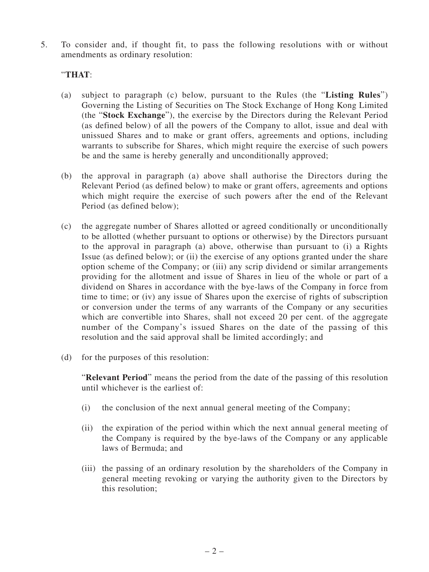5. To consider and, if thought fit, to pass the following resolutions with or without amendments as ordinary resolution:

#### "**THAT**:

- (a) subject to paragraph (c) below, pursuant to the Rules (the "**Listing Rules**") Governing the Listing of Securities on The Stock Exchange of Hong Kong Limited (the "**Stock Exchange**"), the exercise by the Directors during the Relevant Period (as defined below) of all the powers of the Company to allot, issue and deal with unissued Shares and to make or grant offers, agreements and options, including warrants to subscribe for Shares, which might require the exercise of such powers be and the same is hereby generally and unconditionally approved;
- (b) the approval in paragraph (a) above shall authorise the Directors during the Relevant Period (as defined below) to make or grant offers, agreements and options which might require the exercise of such powers after the end of the Relevant Period (as defined below);
- (c) the aggregate number of Shares allotted or agreed conditionally or unconditionally to be allotted (whether pursuant to options or otherwise) by the Directors pursuant to the approval in paragraph (a) above, otherwise than pursuant to (i) a Rights Issue (as defined below); or (ii) the exercise of any options granted under the share option scheme of the Company; or (iii) any scrip dividend or similar arrangements providing for the allotment and issue of Shares in lieu of the whole or part of a dividend on Shares in accordance with the bye-laws of the Company in force from time to time; or (iv) any issue of Shares upon the exercise of rights of subscription or conversion under the terms of any warrants of the Company or any securities which are convertible into Shares, shall not exceed 20 per cent. of the aggregate number of the Company's issued Shares on the date of the passing of this resolution and the said approval shall be limited accordingly; and
- (d) for the purposes of this resolution:

"**Relevant Period**" means the period from the date of the passing of this resolution until whichever is the earliest of:

- (i) the conclusion of the next annual general meeting of the Company;
- (ii) the expiration of the period within which the next annual general meeting of the Company is required by the bye-laws of the Company or any applicable laws of Bermuda; and
- (iii) the passing of an ordinary resolution by the shareholders of the Company in general meeting revoking or varying the authority given to the Directors by this resolution;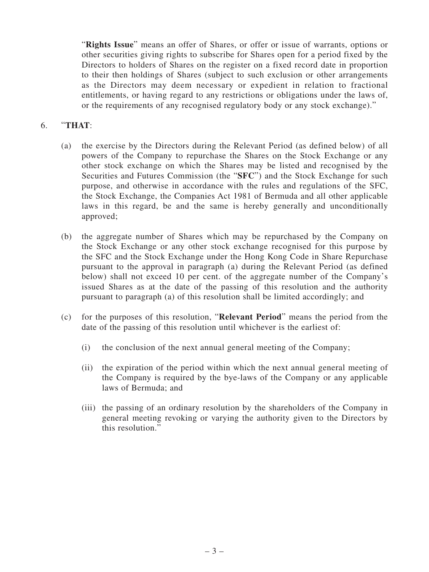"**Rights Issue**" means an offer of Shares, or offer or issue of warrants, options or other securities giving rights to subscribe for Shares open for a period fixed by the Directors to holders of Shares on the register on a fixed record date in proportion to their then holdings of Shares (subject to such exclusion or other arrangements as the Directors may deem necessary or expedient in relation to fractional entitlements, or having regard to any restrictions or obligations under the laws of, or the requirements of any recognised regulatory body or any stock exchange)."

#### 6. "**THAT**:

- (a) the exercise by the Directors during the Relevant Period (as defined below) of all powers of the Company to repurchase the Shares on the Stock Exchange or any other stock exchange on which the Shares may be listed and recognised by the Securities and Futures Commission (the "**SFC**") and the Stock Exchange for such purpose, and otherwise in accordance with the rules and regulations of the SFC, the Stock Exchange, the Companies Act 1981 of Bermuda and all other applicable laws in this regard, be and the same is hereby generally and unconditionally approved;
- (b) the aggregate number of Shares which may be repurchased by the Company on the Stock Exchange or any other stock exchange recognised for this purpose by the SFC and the Stock Exchange under the Hong Kong Code in Share Repurchase pursuant to the approval in paragraph (a) during the Relevant Period (as defined below) shall not exceed 10 per cent. of the aggregate number of the Company's issued Shares as at the date of the passing of this resolution and the authority pursuant to paragraph (a) of this resolution shall be limited accordingly; and
- (c) for the purposes of this resolution, "**Relevant Period**" means the period from the date of the passing of this resolution until whichever is the earliest of:
	- (i) the conclusion of the next annual general meeting of the Company;
	- (ii) the expiration of the period within which the next annual general meeting of the Company is required by the bye-laws of the Company or any applicable laws of Bermuda; and
	- (iii) the passing of an ordinary resolution by the shareholders of the Company in general meeting revoking or varying the authority given to the Directors by this resolution."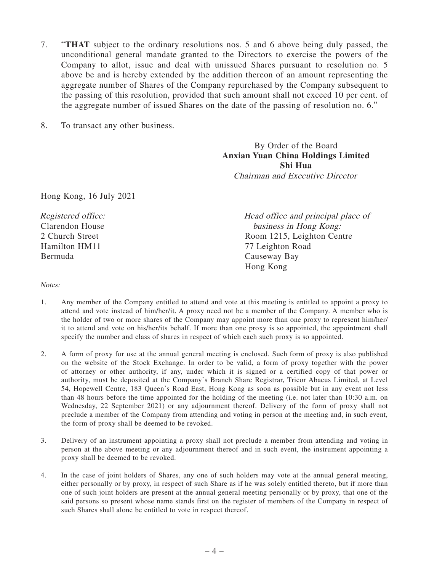- 7. "**THAT** subject to the ordinary resolutions nos. 5 and 6 above being duly passed, the unconditional general mandate granted to the Directors to exercise the powers of the Company to allot, issue and deal with unissued Shares pursuant to resolution no. 5 above be and is hereby extended by the addition thereon of an amount representing the aggregate number of Shares of the Company repurchased by the Company subsequent to the passing of this resolution, provided that such amount shall not exceed 10 per cent. of the aggregate number of issued Shares on the date of the passing of resolution no. 6."
- 8. To transact any other business.

By Order of the Board **Anxian Yuan China Holdings Limited Shi Hua** Chairman and Executive Director

Hong Kong, 16 July 2021

| Registered office: | Head office and principal place of |
|--------------------|------------------------------------|
| Clarendon House    | business in Hong Kong:             |
| 2 Church Street    | Room 1215, Leighton Centre         |
| Hamilton HM11      | 77 Leighton Road                   |
| Bermuda            | Causeway Bay                       |
|                    | Hong Kong                          |

#### Notes:

- 1. Any member of the Company entitled to attend and vote at this meeting is entitled to appoint a proxy to attend and vote instead of him/her/it. A proxy need not be a member of the Company. A member who is the holder of two or more shares of the Company may appoint more than one proxy to represent him/her/ it to attend and vote on his/her/its behalf. If more than one proxy is so appointed, the appointment shall specify the number and class of shares in respect of which each such proxy is so appointed.
- 2. A form of proxy for use at the annual general meeting is enclosed. Such form of proxy is also published on the website of the Stock Exchange. In order to be valid, a form of proxy together with the power of attorney or other authority, if any, under which it is signed or a certified copy of that power or authority, must be deposited at the Company's Branch Share Registrar, Tricor Abacus Limited, at Level 54, Hopewell Centre, 183 Queen's Road East, Hong Kong as soon as possible but in any event not less than 48 hours before the time appointed for the holding of the meeting (i.e. not later than 10:30 a.m. on Wednesday, 22 September 2021) or any adjournment thereof. Delivery of the form of proxy shall not preclude a member of the Company from attending and voting in person at the meeting and, in such event, the form of proxy shall be deemed to be revoked.
- 3. Delivery of an instrument appointing a proxy shall not preclude a member from attending and voting in person at the above meeting or any adjournment thereof and in such event, the instrument appointing a proxy shall be deemed to be revoked.
- 4. In the case of joint holders of Shares, any one of such holders may vote at the annual general meeting, either personally or by proxy, in respect of such Share as if he was solely entitled thereto, but if more than one of such joint holders are present at the annual general meeting personally or by proxy, that one of the said persons so present whose name stands first on the register of members of the Company in respect of such Shares shall alone be entitled to vote in respect thereof.